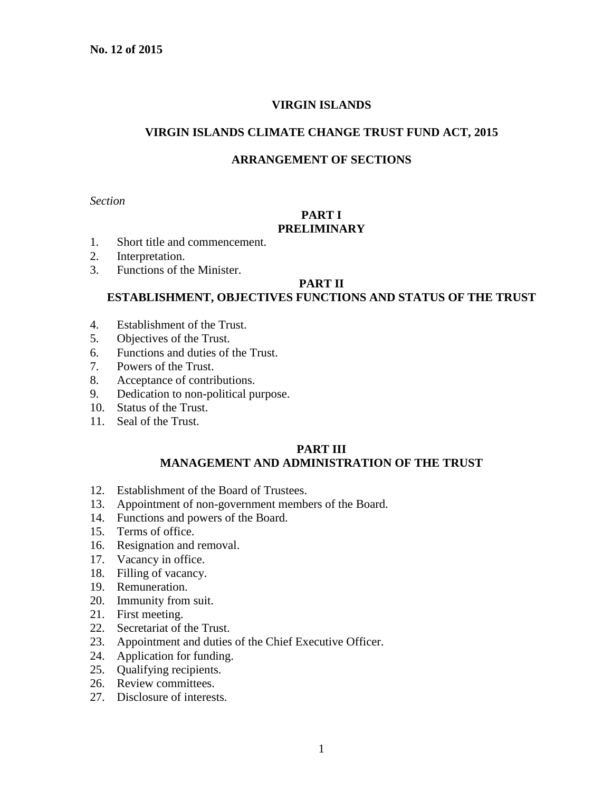#### **VIRGIN ISLANDS**

#### **VIRGIN ISLANDS CLIMATE CHANGE TRUST FUND ACT, 2015**

#### **ARRANGEMENT OF SECTIONS**

*Section*

## **PART I PRELIMINARY**

- 1. Short title and commencement.
- 2. Interpretation.
- 3. Functions of the Minister.

#### **PART II**

# **ESTABLISHMENT, OBJECTIVES FUNCTIONS AND STATUS OF THE TRUST**

- 4. Establishment of the Trust.
- 5. Objectives of the Trust.
- 6. Functions and duties of the Trust.
- 7. Powers of the Trust.
- 8. Acceptance of contributions.
- 9. Dedication to non-political purpose.
- 10. Status of the Trust.
- 11. Seal of the Trust.

#### **PART III MANAGEMENT AND ADMINISTRATION OF THE TRUST**

- 12. Establishment of the Board of Trustees.
- 13. Appointment of non-government members of the Board.
- 14. Functions and powers of the Board.
- 15. Terms of office.
- 16. Resignation and removal.
- 17. Vacancy in office.
- 18. Filling of vacancy.
- 19. Remuneration.
- 20. Immunity from suit.
- 21. First meeting.
- 22. Secretariat of the Trust.
- 23. Appointment and duties of the Chief Executive Officer.
- 24. Application for funding.
- 25. Qualifying recipients.
- 26. Review committees.
- 27. Disclosure of interests.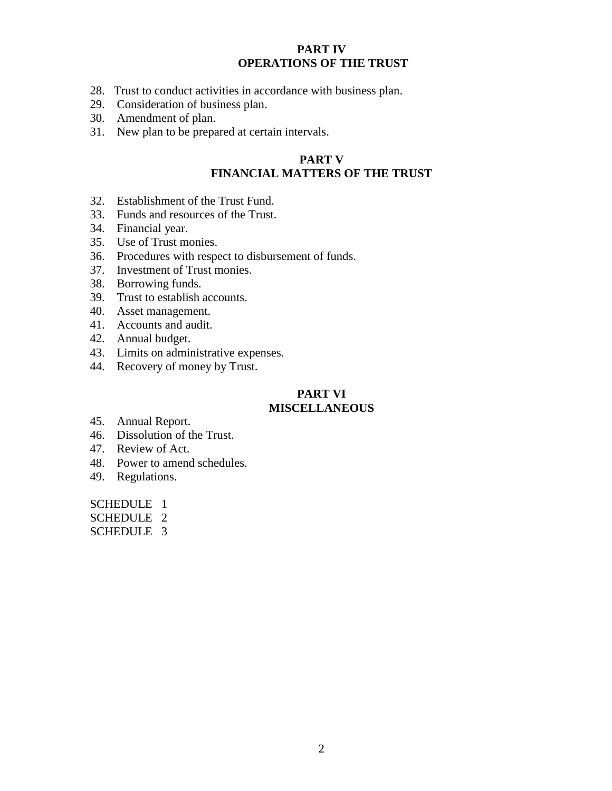#### **PART IV OPERATIONS OF THE TRUST**

- 28. Trust to conduct activities in accordance with business plan.
- 29. Consideration of business plan.
- 30. Amendment of plan.
- 31. New plan to be prepared at certain intervals.

# **PART V FINANCIAL MATTERS OF THE TRUST**

- 32. Establishment of the Trust Fund.
- 33. Funds and resources of the Trust.
- 34. Financial year.
- 35. Use of Trust monies.
- 36. Procedures with respect to disbursement of funds.
- 37. Investment of Trust monies.
- 38. Borrowing funds.
- 39. Trust to establish accounts.
- 40. Asset management.
- 41. Accounts and audit.
- 42. Annual budget.
- 43. Limits on administrative expenses.
- 44. Recovery of money by Trust.

# **PART VI**

# **MISCELLANEOUS**

- 45. Annual Report.
- 46. Dissolution of the Trust.
- 47. Review of Act.
- 48. Power to amend schedules.
- 49. Regulations.

SCHEDULE 1

SCHEDULE 2

SCHEDULE 3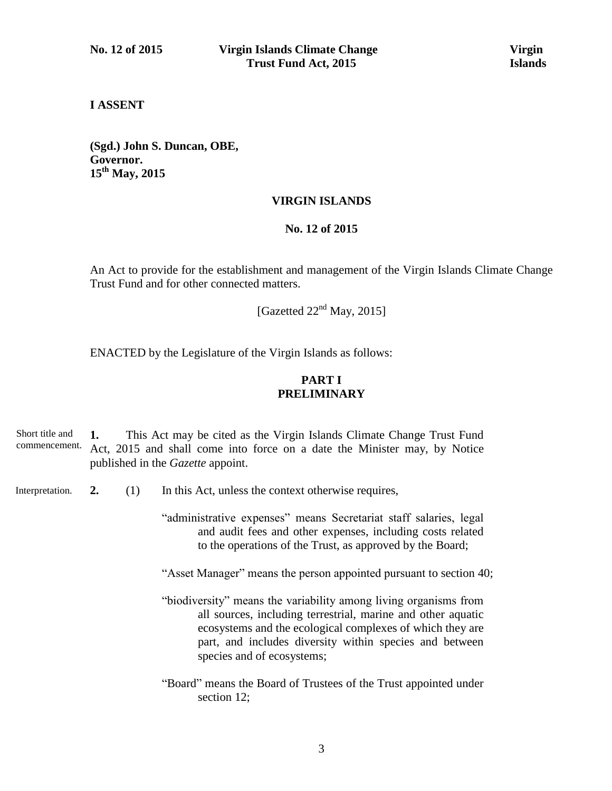#### **I ASSENT**

**(Sgd.) John S. Duncan, OBE, Governor. 15th May, 2015**

#### **VIRGIN ISLANDS**

#### **No. 12 of 2015**

An Act to provide for the establishment and management of the Virgin Islands Climate Change Trust Fund and for other connected matters.

[Gazetted  $22<sup>nd</sup>$  May, 2015]

ENACTED by the Legislature of the Virgin Islands as follows:

## **PART I PRELIMINARY**

**1.** This Act may be cited as the Virgin Islands Climate Change Trust Fund Act, 2015 and shall come into force on a date the Minister may, by Notice published in the *Gazette* appoint. Short title and commencement.

**2.** (1) In this Act, unless the context otherwise requires, Interpretation.

> "administrative expenses" means Secretariat staff salaries, legal and audit fees and other expenses, including costs related to the operations of the Trust, as approved by the Board;

"Asset Manager" means the person appointed pursuant to section 40;

- "biodiversity" means the variability among living organisms from all sources, including terrestrial, marine and other aquatic ecosystems and the ecological complexes of which they are part, and includes diversity within species and between species and of ecosystems;
- "Board" means the Board of Trustees of the Trust appointed under section 12;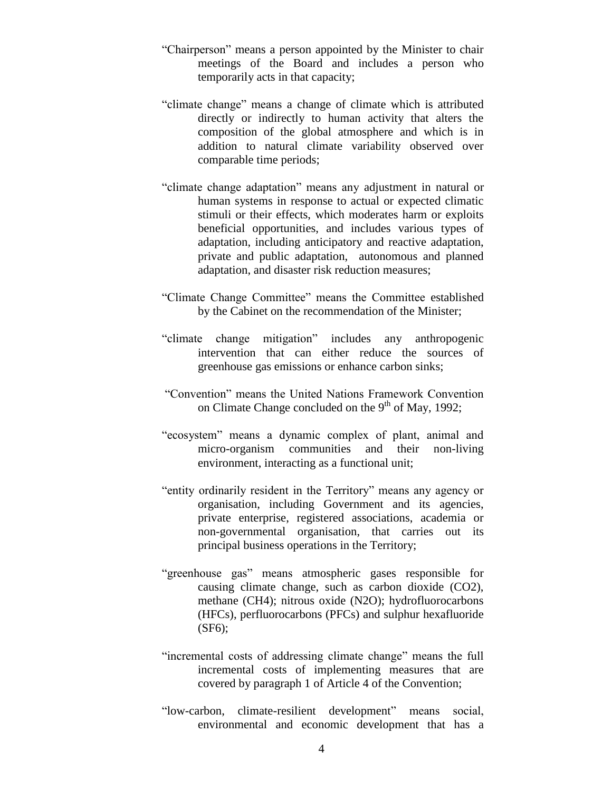- "Chairperson" means a person appointed by the Minister to chair meetings of the Board and includes a person who temporarily acts in that capacity;
- "climate change" means a change of climate which is attributed directly or indirectly to human activity that alters the composition of the global atmosphere and which is in addition to natural climate variability observed over comparable time periods;
- "climate change adaptation" means any adjustment in natural or human systems in response to actual or expected climatic stimuli or their effects, which moderates harm or exploits beneficial opportunities, and includes various types of adaptation, including anticipatory and reactive adaptation, private and public adaptation, autonomous and planned adaptation, and disaster risk reduction measures;
- "Climate Change Committee" means the Committee established by the Cabinet on the recommendation of the Minister;
- "climate change mitigation" includes any anthropogenic intervention that can either reduce the sources of greenhouse gas emissions or enhance carbon sinks;
- "Convention" means the United Nations Framework Convention on Climate Change concluded on the 9<sup>th</sup> of May, 1992;
- "ecosystem" means a dynamic complex of plant, animal and micro-organism communities and their non-living environment, interacting as a functional unit;
- "entity ordinarily resident in the Territory" means any agency or organisation, including Government and its agencies, private enterprise, registered associations, academia or non-governmental organisation, that carries out its principal business operations in the Territory;
- "greenhouse gas" means atmospheric gases responsible for causing climate change, such as carbon dioxide (CO2), methane (CH4); nitrous oxide (N2O); hydrofluorocarbons (HFCs), perfluorocarbons (PFCs) and sulphur hexafluoride (SF6);
- "incremental costs of addressing climate change" means the full incremental costs of implementing measures that are covered by paragraph 1 of Article 4 of the Convention;
- "low-carbon, climate-resilient development" means social, environmental and economic development that has a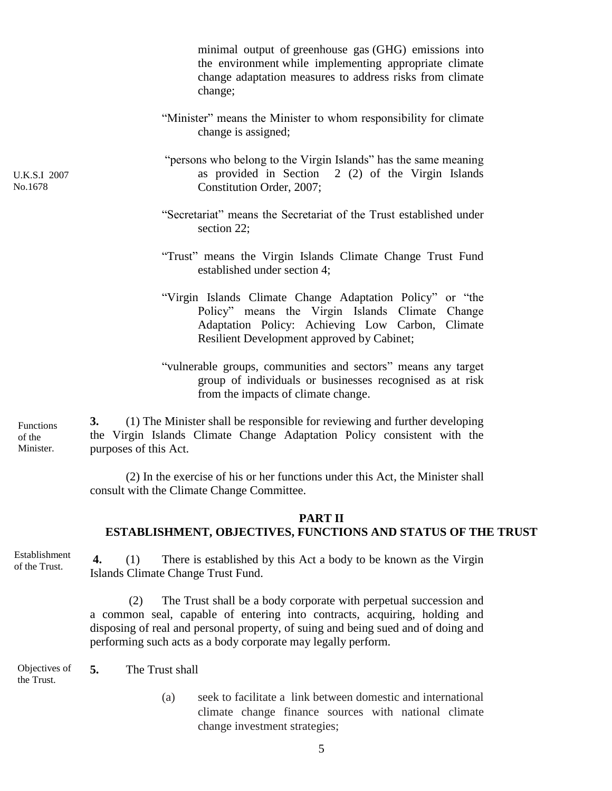|                                  | minimal output of greenhouse gas (GHG) emissions into<br>the environment while implementing appropriate climate<br>change adaptation measures to address risks from climate<br>change;                            |
|----------------------------------|-------------------------------------------------------------------------------------------------------------------------------------------------------------------------------------------------------------------|
|                                  | "Minister" means the Minister to whom responsibility for climate<br>change is assigned;                                                                                                                           |
| <b>U.K.S.I 2007</b><br>No.1678   | "persons who belong to the Virgin Islands" has the same meaning<br>as provided in Section 2 (2) of the Virgin Islands<br>Constitution Order, 2007;                                                                |
|                                  | "Secretariat" means the Secretariat of the Trust established under<br>section 22;                                                                                                                                 |
|                                  | "Trust" means the Virgin Islands Climate Change Trust Fund<br>established under section 4;                                                                                                                        |
|                                  | "Virgin Islands Climate Change Adaptation Policy" or "the<br>Policy" means the Virgin Islands Climate Change<br>Adaptation Policy: Achieving Low Carbon,<br>Climate<br>Resilient Development approved by Cabinet; |
|                                  | "vulnerable groups, communities and sectors" means any target<br>group of individuals or businesses recognised as at risk<br>from the impacts of climate change.                                                  |
| Functions<br>of the<br>Minister. | 3.<br>(1) The Minister shall be responsible for reviewing and further developing<br>the Virgin Islands Climate Change Adaptation Policy consistent with the<br>purposes of this Act.                              |
|                                  | (2) In the exercise of his or her functions under this Act the Minister shall                                                                                                                                     |

(2) In the exercise of his or her functions under this Act, the Minister shall consult with the Climate Change Committee.

## **PART II ESTABLISHMENT, OBJECTIVES, FUNCTIONS AND STATUS OF THE TRUST**

Establishment of the Trust.

**4.** (1) There is established by this Act a body to be known as the Virgin Islands Climate Change Trust Fund.

(2) The Trust shall be a body corporate with perpetual succession and a common seal, capable of entering into contracts, acquiring, holding and disposing of real and personal property, of suing and being sued and of doing and performing such acts as a body corporate may legally perform.

**5.** The Trust shall Objectives of the Trust.

> (a) seek to facilitate a link between domestic and international climate change finance sources with national climate change investment strategies;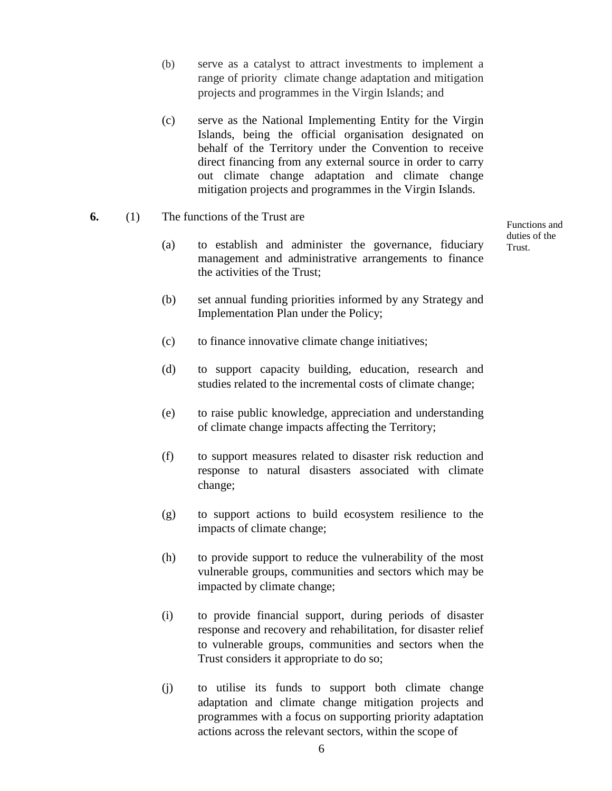- (b) serve as a catalyst to attract investments to implement a range of priority climate change adaptation and mitigation projects and programmes in the Virgin Islands; and
- (c) serve as the National Implementing Entity for the Virgin Islands, being the official organisation designated on behalf of the Territory under the Convention to receive direct financing from any external source in order to carry out climate change adaptation and climate change mitigation projects and programmes in the Virgin Islands.
- **6.** (1) The functions of the Trust are
	- (a) to establish and administer the governance, fiduciary management and administrative arrangements to finance the activities of the Trust;

(b) set annual funding priorities informed by any Strategy and Implementation Plan under the Policy;

Functions and duties of the Trust.

- (c) to finance innovative climate change initiatives;
- (d) to support capacity building, education, research and studies related to the incremental costs of climate change;
- (e) to raise public knowledge, appreciation and understanding of climate change impacts affecting the Territory;
- (f) to support measures related to disaster risk reduction and response to natural disasters associated with climate change;
- (g) to support actions to build ecosystem resilience to the impacts of climate change;
- (h) to provide support to reduce the vulnerability of the most vulnerable groups, communities and sectors which may be impacted by climate change;
- (i) to provide financial support, during periods of disaster response and recovery and rehabilitation, for disaster relief to vulnerable groups, communities and sectors when the Trust considers it appropriate to do so;
- (j) to utilise its funds to support both climate change adaptation and climate change mitigation projects and programmes with a focus on supporting priority adaptation actions across the relevant sectors, within the scope of

6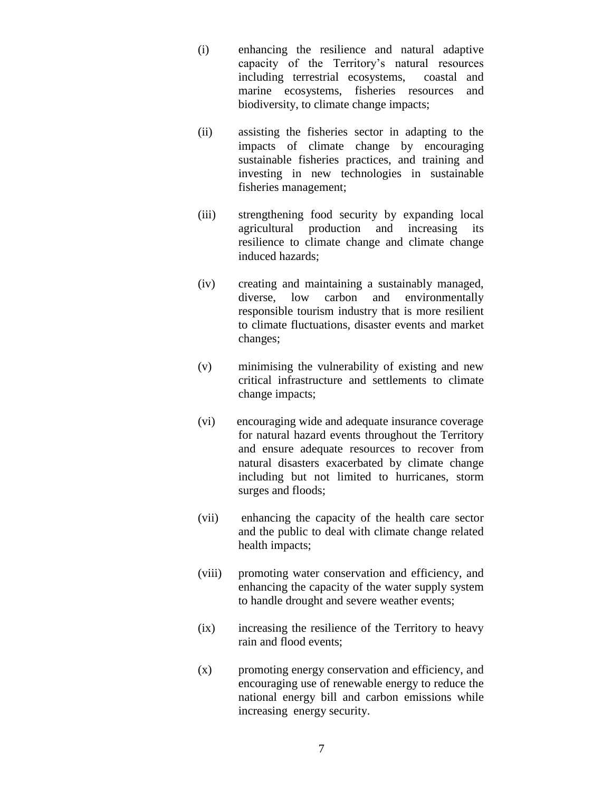- (i) enhancing the resilience and natural adaptive capacity of the Territory's natural resources including terrestrial ecosystems, coastal and marine ecosystems, fisheries resources and biodiversity, to climate change impacts;
- (ii) assisting the fisheries sector in adapting to the impacts of climate change by encouraging sustainable fisheries practices, and training and investing in new technologies in sustainable fisheries management;
- (iii) strengthening food security by expanding local agricultural production and increasing its resilience to climate change and climate change induced hazards;
- (iv) creating and maintaining a sustainably managed, diverse, low carbon and environmentally responsible tourism industry that is more resilient to climate fluctuations, disaster events and market changes;
- (v) minimising the vulnerability of existing and new critical infrastructure and settlements to climate change impacts;
- (vi) encouraging wide and adequate insurance coverage for natural hazard events throughout the Territory and ensure adequate resources to recover from natural disasters exacerbated by climate change including but not limited to hurricanes, storm surges and floods;
- (vii) enhancing the capacity of the health care sector and the public to deal with climate change related health impacts;
- (viii) promoting water conservation and efficiency, and enhancing the capacity of the water supply system to handle drought and severe weather events;
- (ix) increasing the resilience of the Territory to heavy rain and flood events;
- (x) promoting energy conservation and efficiency, and encouraging use of renewable energy to reduce the national energy bill and carbon emissions while increasing energy security.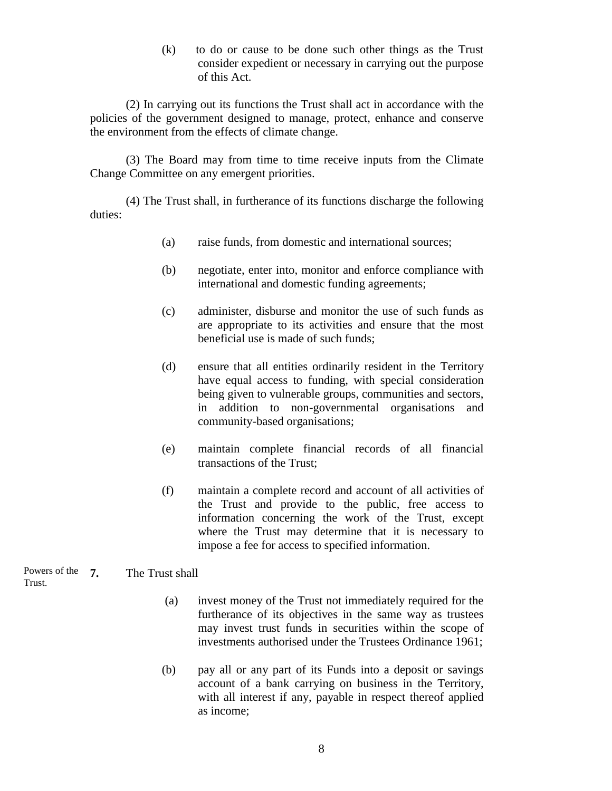(k) to do or cause to be done such other things as the Trust consider expedient or necessary in carrying out the purpose of this Act.

(2) In carrying out its functions the Trust shall act in accordance with the policies of the government designed to manage, protect, enhance and conserve the environment from the effects of climate change.

(3) The Board may from time to time receive inputs from the Climate Change Committee on any emergent priorities.

(4) The Trust shall, in furtherance of its functions discharge the following duties:

- (a) raise funds, from domestic and international sources;
- (b) negotiate, enter into, monitor and enforce compliance with international and domestic funding agreements;
- (c) administer, disburse and monitor the use of such funds as are appropriate to its activities and ensure that the most beneficial use is made of such funds;
- (d) ensure that all entities ordinarily resident in the Territory have equal access to funding, with special consideration being given to vulnerable groups, communities and sectors, in addition to non-governmental organisations and community-based organisations;
- (e) maintain complete financial records of all financial transactions of the Trust;
- (f) maintain a complete record and account of all activities of the Trust and provide to the public, free access to information concerning the work of the Trust, except where the Trust may determine that it is necessary to impose a fee for access to specified information.

**7.** The Trust shall Powers of the Trust.

- (a) invest money of the Trust not immediately required for the furtherance of its objectives in the same way as trustees may invest trust funds in securities within the scope of investments authorised under the Trustees Ordinance 1961;
- (b) pay all or any part of its Funds into a deposit or savings account of a bank carrying on business in the Territory, with all interest if any, payable in respect thereof applied as income;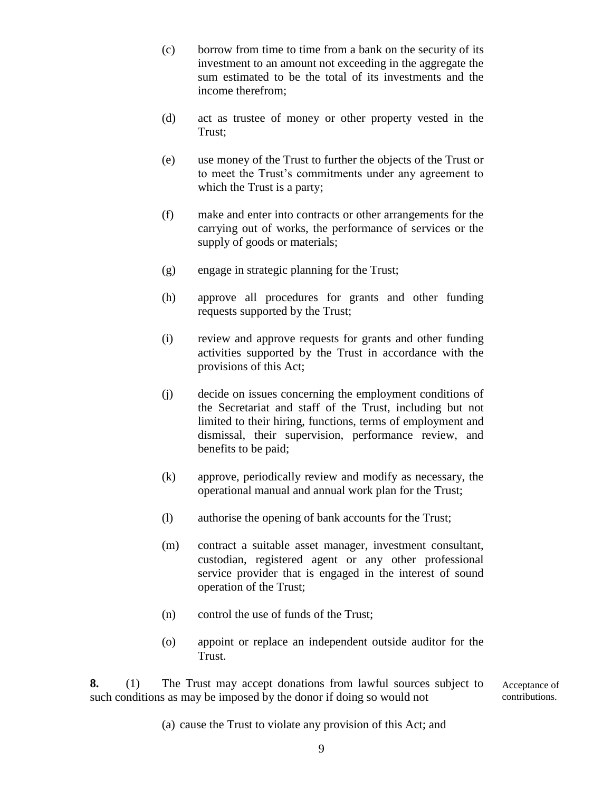- (c) borrow from time to time from a bank on the security of its investment to an amount not exceeding in the aggregate the sum estimated to be the total of its investments and the income therefrom;
- (d) act as trustee of money or other property vested in the Trust;
- (e) use money of the Trust to further the objects of the Trust or to meet the Trust's commitments under any agreement to which the Trust is a party;
- (f) make and enter into contracts or other arrangements for the carrying out of works, the performance of services or the supply of goods or materials;
- (g) engage in strategic planning for the Trust;
- (h) approve all procedures for grants and other funding requests supported by the Trust;
- (i) review and approve requests for grants and other funding activities supported by the Trust in accordance with the provisions of this Act;
- (j) decide on issues concerning the employment conditions of the Secretariat and staff of the Trust, including but not limited to their hiring, functions, terms of employment and dismissal, their supervision, performance review, and benefits to be paid;
- (k) approve, periodically review and modify as necessary, the operational manual and annual work plan for the Trust;
- (l) authorise the opening of bank accounts for the Trust;
- (m) contract a suitable asset manager, investment consultant, custodian, registered agent or any other professional service provider that is engaged in the interest of sound operation of the Trust;
- (n) control the use of funds of the Trust;
- (o) appoint or replace an independent outside auditor for the Trust.

**8.** (1) The Trust may accept donations from lawful sources subject to such conditions as may be imposed by the donor if doing so would not Acceptance of

- contributions.
- (a) cause the Trust to violate any provision of this Act; and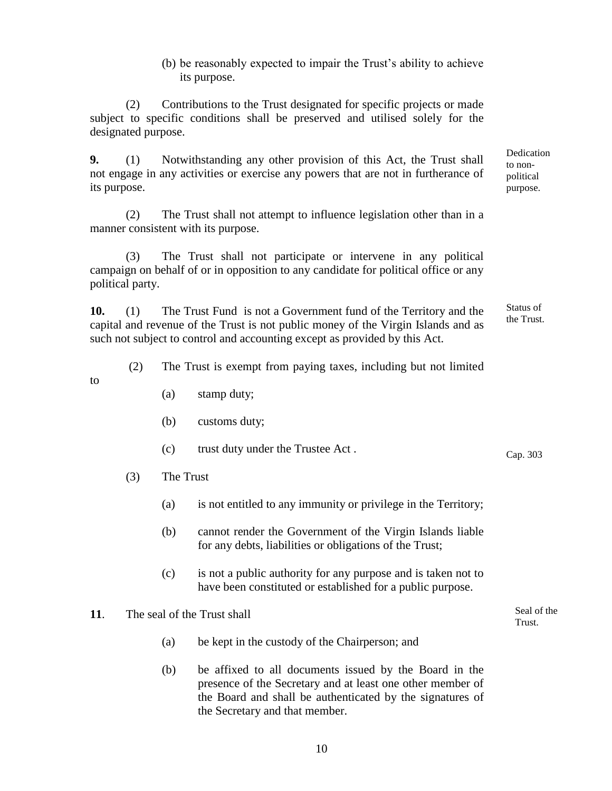(b) be reasonably expected to impair the Trust's ability to achieve its purpose.

> Dedication to nonpolitical purpose.

> > Seal of the Trust.

(2) Contributions to the Trust designated for specific projects or made subject to specific conditions shall be preserved and utilised solely for the designated purpose.

**9.** (1) Notwithstanding any other provision of this Act, the Trust shall not engage in any activities or exercise any powers that are not in furtherance of its purpose.

(2) The Trust shall not attempt to influence legislation other than in a manner consistent with its purpose.

(3) The Trust shall not participate or intervene in any political campaign on behalf of or in opposition to any candidate for political office or any political party.

**10.** (1) The Trust Fund is not a Government fund of the Territory and the capital and revenue of the Trust is not public money of the Virgin Islands and as such not subject to control and accounting except as provided by this Act. Status of the Trust.

(2) The Trust is exempt from paying taxes, including but not limited

- to
- (a) stamp duty;
- (b) customs duty;
- (c) trust duty under the Trustee Act . Cap. 303
- (3) The Trust
	- (a) is not entitled to any immunity or privilege in the Territory;
	- (b) cannot render the Government of the Virgin Islands liable for any debts, liabilities or obligations of the Trust;
	- (c) is not a public authority for any purpose and is taken not to have been constituted or established for a public purpose.
- **11**. The seal of the Trust shall
	- (a) be kept in the custody of the Chairperson; and
	- (b) be affixed to all documents issued by the Board in the presence of the Secretary and at least one other member of the Board and shall be authenticated by the signatures of the Secretary and that member.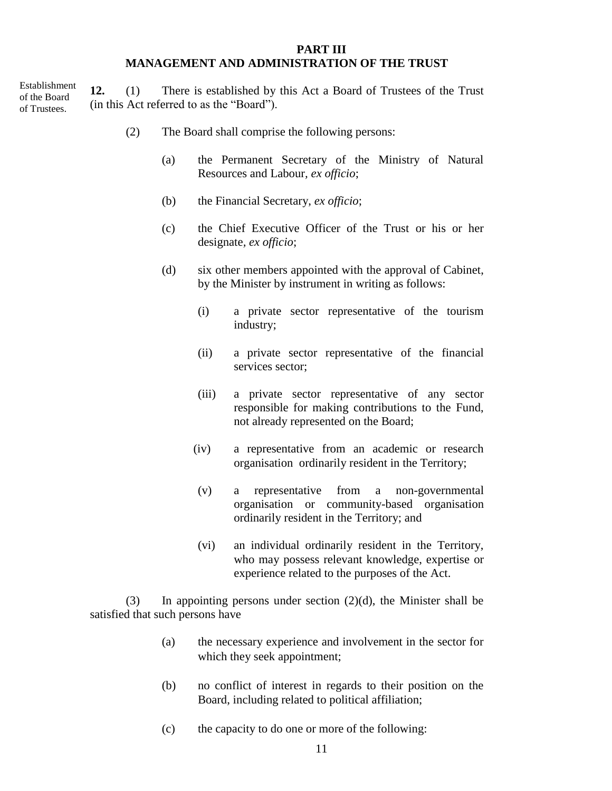#### **PART III MANAGEMENT AND ADMINISTRATION OF THE TRUST**

Establishment of the Board of Trustees.

**12.** (1) There is established by this Act a Board of Trustees of the Trust (in this Act referred to as the "Board").

- (2) The Board shall comprise the following persons:
	- (a) the Permanent Secretary of the Ministry of Natural Resources and Labour*, ex officio*;
	- (b) the Financial Secretary, *ex officio*;
	- (c) the Chief Executive Officer of the Trust or his or her designate*, ex officio*;
	- (d) six other members appointed with the approval of Cabinet, by the Minister by instrument in writing as follows:
		- (i) a private sector representative of the tourism industry;
		- (ii) a private sector representative of the financial services sector;
		- (iii) a private sector representative of any sector responsible for making contributions to the Fund, not already represented on the Board;
		- (iv) a representative from an academic or research organisation ordinarily resident in the Territory;
		- (v) a representative from a non-governmental organisation or community-based organisation ordinarily resident in the Territory; and
		- (vi) an individual ordinarily resident in the Territory, who may possess relevant knowledge, expertise or experience related to the purposes of the Act.

(3) In appointing persons under section  $(2)(d)$ , the Minister shall be satisfied that such persons have

- (a) the necessary experience and involvement in the sector for which they seek appointment;
- (b) no conflict of interest in regards to their position on the Board, including related to political affiliation;
- (c) the capacity to do one or more of the following: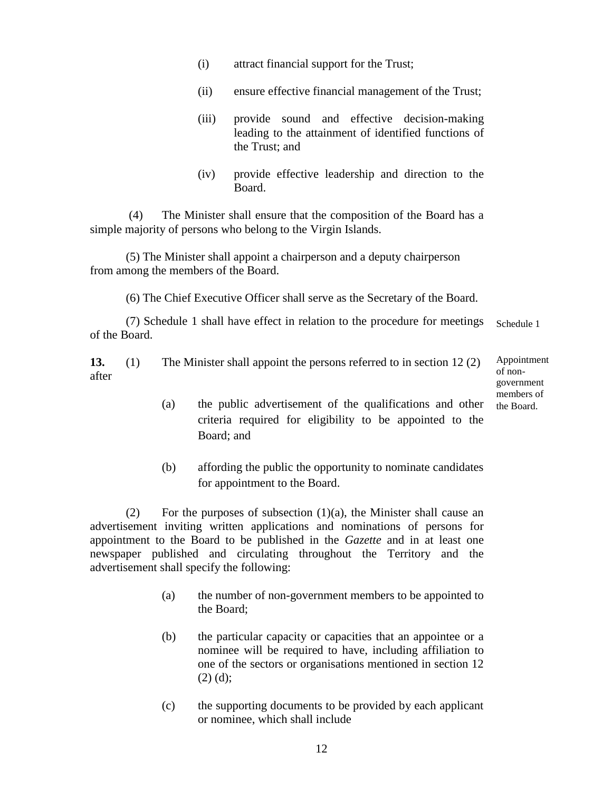- (i) attract financial support for the Trust;
- (ii) ensure effective financial management of the Trust;
- (iii) provide sound and effective decision-making leading to the attainment of identified functions of the Trust; and
- (iv) provide effective leadership and direction to the Board.

(4) The Minister shall ensure that the composition of the Board has a simple majority of persons who belong to the Virgin Islands.

(5) The Minister shall appoint a chairperson and a deputy chairperson from among the members of the Board.

(6) The Chief Executive Officer shall serve as the Secretary of the Board.

(7) Schedule 1 shall have effect in relation to the procedure for meetings of the Board. Schedule 1

**13.** (1) The Minister shall appoint the persons referred to in section 12 (2) after

Appointment of nongovernment members of the Board.

- (a) the public advertisement of the qualifications and other criteria required for eligibility to be appointed to the Board; and
- (b) affording the public the opportunity to nominate candidates for appointment to the Board.

(2) For the purposes of subsection  $(1)(a)$ , the Minister shall cause an advertisement inviting written applications and nominations of persons for appointment to the Board to be published in the *Gazette* and in at least one newspaper published and circulating throughout the Territory and the advertisement shall specify the following:

- (a) the number of non-government members to be appointed to the Board;
- (b) the particular capacity or capacities that an appointee or a nominee will be required to have, including affiliation to one of the sectors or organisations mentioned in section 12  $(2)$  (d);
- (c) the supporting documents to be provided by each applicant or nominee, which shall include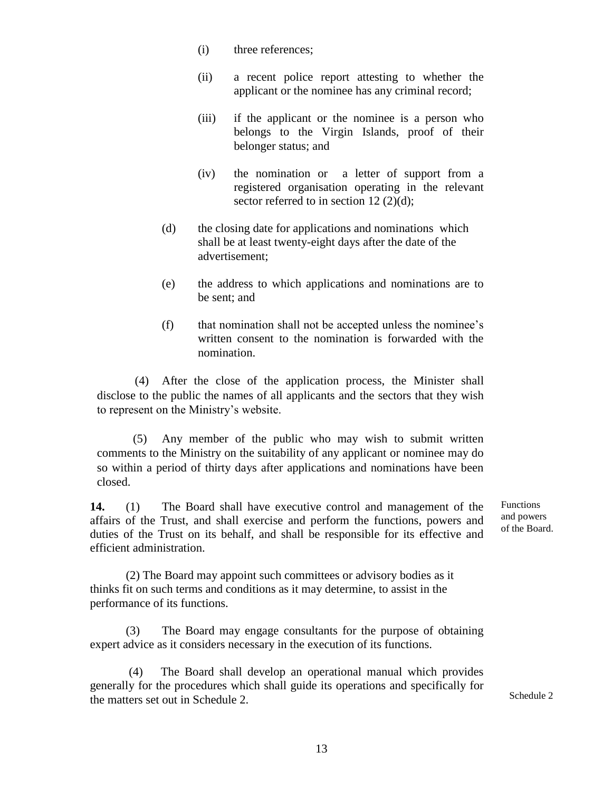- (i) three references;
- (ii) a recent police report attesting to whether the applicant or the nominee has any criminal record;
- (iii) if the applicant or the nominee is a person who belongs to the Virgin Islands, proof of their belonger status; and
- (iv) the nomination or a letter of support from a registered organisation operating in the relevant sector referred to in section 12 (2)(d);
- (d) the closing date for applications and nominations which shall be at least twenty-eight days after the date of the advertisement;
- (e) the address to which applications and nominations are to be sent; and
- (f) that nomination shall not be accepted unless the nominee's written consent to the nomination is forwarded with the nomination.

(4) After the close of the application process, the Minister shall disclose to the public the names of all applicants and the sectors that they wish to represent on the Ministry's website.

(5) Any member of the public who may wish to submit written comments to the Ministry on the suitability of any applicant or nominee may do so within a period of thirty days after applications and nominations have been closed.

**14.** (1) The Board shall have executive control and management of the affairs of the Trust, and shall exercise and perform the functions, powers and duties of the Trust on its behalf, and shall be responsible for its effective and efficient administration.

(2) The Board may appoint such committees or advisory bodies as it thinks fit on such terms and conditions as it may determine, to assist in the performance of its functions.

(3) The Board may engage consultants for the purpose of obtaining expert advice as it considers necessary in the execution of its functions.

The Board shall develop an operational manual which provides generally for the procedures which shall guide its operations and specifically for the matters set out in Schedule 2.

Functions and powers of the Board.

Schedule 2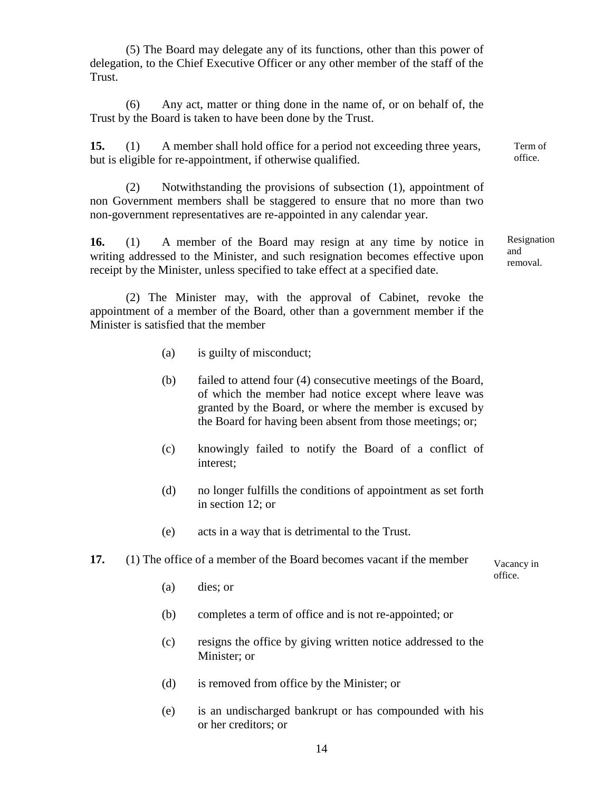(5) The Board may delegate any of its functions, other than this power of delegation, to the Chief Executive Officer or any other member of the staff of the Trust.

(6) Any act, matter or thing done in the name of, or on behalf of, the Trust by the Board is taken to have been done by the Trust.

**15.** (1) A member shall hold office for a period not exceeding three years, but is eligible for re-appointment, if otherwise qualified.

(2) Notwithstanding the provisions of subsection (1), appointment of non Government members shall be staggered to ensure that no more than two non-government representatives are re-appointed in any calendar year.

**16.** (1) A member of the Board may resign at any time by notice in writing addressed to the Minister, and such resignation becomes effective upon receipt by the Minister, unless specified to take effect at a specified date.

(2) The Minister may, with the approval of Cabinet, revoke the appointment of a member of the Board, other than a government member if the Minister is satisfied that the member

- (a) is guilty of misconduct;
- (b) failed to attend four (4) consecutive meetings of the Board, of which the member had notice except where leave was granted by the Board, or where the member is excused by the Board for having been absent from those meetings; or;
- (c) knowingly failed to notify the Board of a conflict of interest;
- (d) no longer fulfills the conditions of appointment as set forth in section 12; or
- (e) acts in a way that is detrimental to the Trust.

#### **17.** (1) The office of a member of the Board becomes vacant if the member

Vacancy in office.

- (a) dies; or
- (b) completes a term of office and is not re-appointed; or
- (c) resigns the office by giving written notice addressed to the Minister; or
- (d) is removed from office by the Minister; or
- (e) is an undischarged bankrupt or has compounded with his or her creditors; or

Resignation

Term of office.

and removal.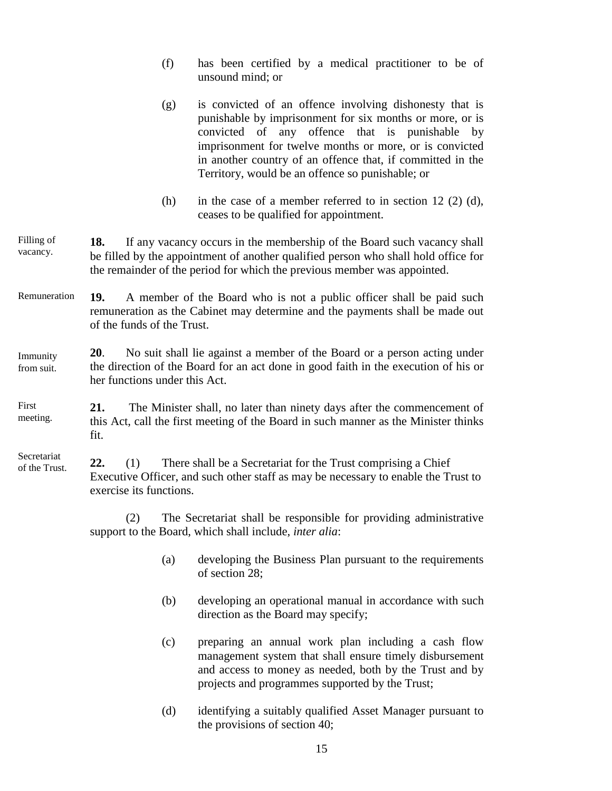- (f) has been certified by a medical practitioner to be of unsound mind; or
- (g) is convicted of an offence involving dishonesty that is punishable by imprisonment for six months or more, or is convicted of any offence that is punishable by imprisonment for twelve months or more, or is convicted in another country of an offence that, if committed in the Territory, would be an offence so punishable; or
- (h) in the case of a member referred to in section  $12$  (2) (d), ceases to be qualified for appointment.
- **18.** If any vacancy occurs in the membership of the Board such vacancy shall be filled by the appointment of another qualified person who shall hold office for the remainder of the period for which the previous member was appointed. Filling of vacancy.
- **19.** A member of the Board who is not a public officer shall be paid such remuneration as the Cabinet may determine and the payments shall be made out of the funds of the Trust. Remuneration

#### **20**. No suit shall lie against a member of the Board or a person acting under the direction of the Board for an act done in good faith in the execution of his or her functions under this Act. Immunity from suit.

**21.** The Minister shall, no later than ninety days after the commencement of this Act, call the first meeting of the Board in such manner as the Minister thinks fit. First meeting.

**22.** (1) There shall be a Secretariat for the Trust comprising a Chief Executive Officer, and such other staff as may be necessary to enable the Trust to exercise its functions. Secretariat of the Trust.

> (2) The Secretariat shall be responsible for providing administrative support to the Board, which shall include, *inter alia*:

- (a) developing the Business Plan pursuant to the requirements of section 28;
- (b) developing an operational manual in accordance with such direction as the Board may specify;
- (c) preparing an annual work plan including a cash flow management system that shall ensure timely disbursement and access to money as needed, both by the Trust and by projects and programmes supported by the Trust;
- (d) identifying a suitably qualified Asset Manager pursuant to the provisions of section 40;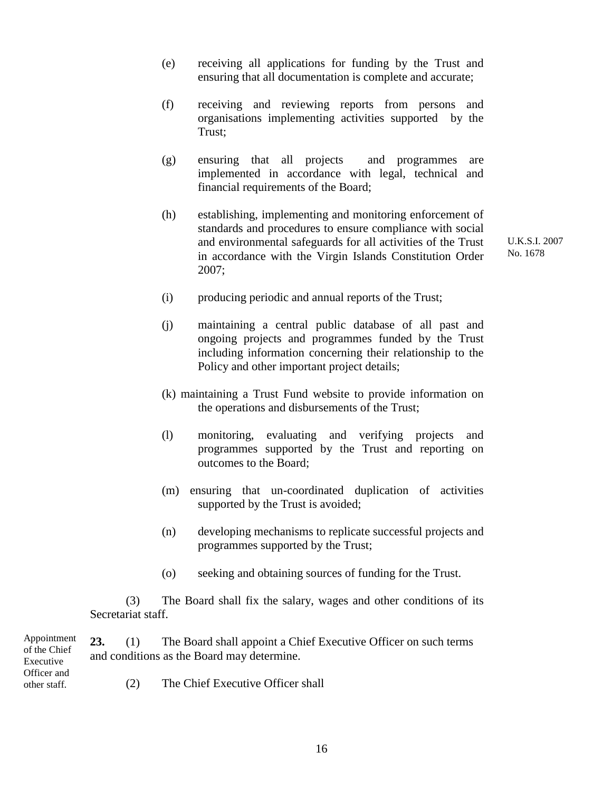- (e) receiving all applications for funding by the Trust and ensuring that all documentation is complete and accurate;
- (f) receiving and reviewing reports from persons and organisations implementing activities supported by the Trust;
- (g) ensuring that all projects and programmes are implemented in accordance with legal, technical and financial requirements of the Board;
- (h) establishing, implementing and monitoring enforcement of standards and procedures to ensure compliance with social and environmental safeguards for all activities of the Trust in accordance with the Virgin Islands Constitution Order 2007;

U.K.S.I. 2007 No. 1678

- (i) producing periodic and annual reports of the Trust;
- (j) maintaining a central public database of all past and ongoing projects and programmes funded by the Trust including information concerning their relationship to the Policy and other important project details;
- (k) maintaining a Trust Fund website to provide information on the operations and disbursements of the Trust;
- (l) monitoring, evaluating and verifying projects and programmes supported by the Trust and reporting on outcomes to the Board;
- (m) ensuring that un-coordinated duplication of activities supported by the Trust is avoided;
- (n) developing mechanisms to replicate successful projects and programmes supported by the Trust;
- (o) seeking and obtaining sources of funding for the Trust.

(3) The Board shall fix the salary, wages and other conditions of its Secretariat staff.

**23.** (1) The Board shall appoint a Chief Executive Officer on such terms and conditions as the Board may determine.

Appointment of the Chief Executive Officer and other staff.

(2) The Chief Executive Officer shall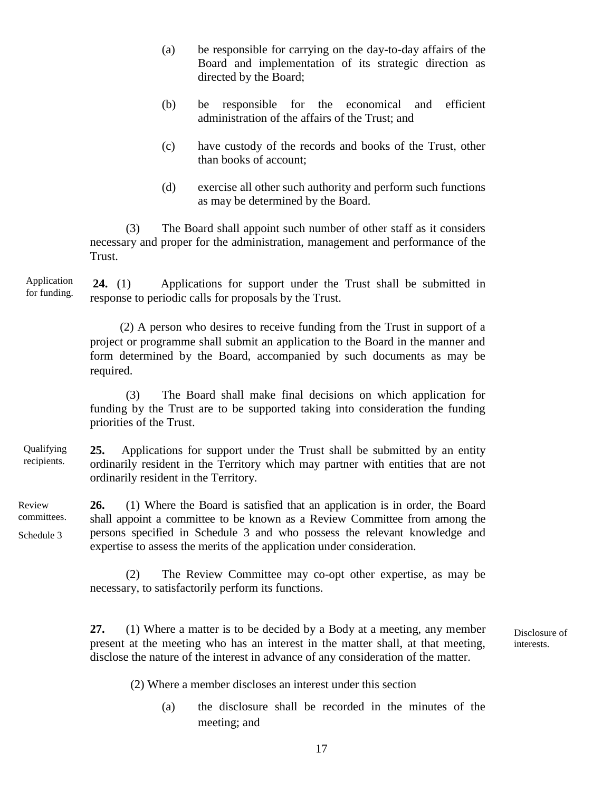- (a) be responsible for carrying on the day-to-day affairs of the Board and implementation of its strategic direction as directed by the Board;
- (b) be responsible for the economical and efficient administration of the affairs of the Trust; and
- (c) have custody of the records and books of the Trust, other than books of account;
- (d) exercise all other such authority and perform such functions as may be determined by the Board.

(3) The Board shall appoint such number of other staff as it considers necessary and proper for the administration, management and performance of the Trust.

**24.** (1) Applications for support under the Trust shall be submitted in response to periodic calls for proposals by the Trust. Application for funding.

> (2) A person who desires to receive funding from the Trust in support of a project or programme shall submit an application to the Board in the manner and form determined by the Board, accompanied by such documents as may be required.

> (3) The Board shall make final decisions on which application for funding by the Trust are to be supported taking into consideration the funding priorities of the Trust.

#### **25.** Applications for support under the Trust shall be submitted by an entity ordinarily resident in the Territory which may partner with entities that are not ordinarily resident in the Territory. Qualifying recipients.

**26.** (1) Where the Board is satisfied that an application is in order, the Board shall appoint a committee to be known as a Review Committee from among the persons specified in Schedule 3 and who possess the relevant knowledge and expertise to assess the merits of the application under consideration. Review committees. Schedule 3

> (2) The Review Committee may co-opt other expertise, as may be necessary, to satisfactorily perform its functions.

> **27.** (1) Where a matter is to be decided by a Body at a meeting, any member present at the meeting who has an interest in the matter shall, at that meeting, disclose the nature of the interest in advance of any consideration of the matter.

Disclosure of interests.

(2) Where a member discloses an interest under this section

(a) the disclosure shall be recorded in the minutes of the meeting; and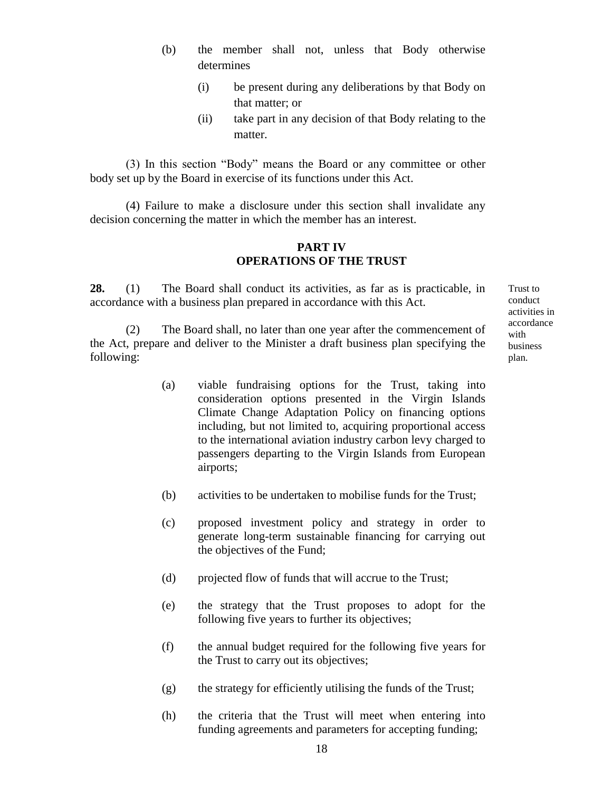- (b) the member shall not, unless that Body otherwise determines
	- (i) be present during any deliberations by that Body on that matter; or
	- (ii) take part in any decision of that Body relating to the matter.

(3) In this section "Body" means the Board or any committee or other body set up by the Board in exercise of its functions under this Act.

(4) Failure to make a disclosure under this section shall invalidate any decision concerning the matter in which the member has an interest.

## **PART IV OPERATIONS OF THE TRUST**

**28.** (1) The Board shall conduct its activities, as far as is practicable, in accordance with a business plan prepared in accordance with this Act.

(2) The Board shall, no later than one year after the commencement of the Act, prepare and deliver to the Minister a draft business plan specifying the following:

- (a) viable fundraising options for the Trust, taking into consideration options presented in the Virgin Islands Climate Change Adaptation Policy on financing options including, but not limited to, acquiring proportional access to the international aviation industry carbon levy charged to passengers departing to the Virgin Islands from European airports;
- (b) activities to be undertaken to mobilise funds for the Trust;
- (c) proposed investment policy and strategy in order to generate long-term sustainable financing for carrying out the objectives of the Fund;
- (d) projected flow of funds that will accrue to the Trust;
- (e) the strategy that the Trust proposes to adopt for the following five years to further its objectives;
- (f) the annual budget required for the following five years for the Trust to carry out its objectives;
- (g) the strategy for efficiently utilising the funds of the Trust;
- (h) the criteria that the Trust will meet when entering into funding agreements and parameters for accepting funding;

Trust to conduct activities in accordance with business plan.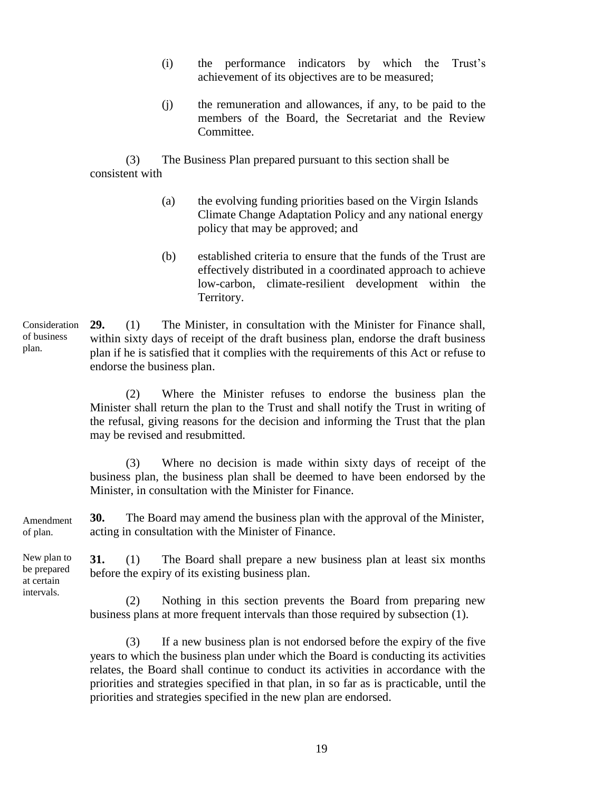- (i) the performance indicators by which the Trust's achievement of its objectives are to be measured;
- (j) the remuneration and allowances, if any, to be paid to the members of the Board, the Secretariat and the Review Committee.

(3) The Business Plan prepared pursuant to this section shall be consistent with

- (a) the evolving funding priorities based on the Virgin Islands Climate Change Adaptation Policy and any national energy policy that may be approved; and
- (b) established criteria to ensure that the funds of the Trust are effectively distributed in a coordinated approach to achieve low-carbon, climate-resilient development within the Territory.

**29.** (1) The Minister, in consultation with the Minister for Finance shall, within sixty days of receipt of the draft business plan, endorse the draft business plan if he is satisfied that it complies with the requirements of this Act or refuse to endorse the business plan. Consideration

> (2) Where the Minister refuses to endorse the business plan the Minister shall return the plan to the Trust and shall notify the Trust in writing of the refusal, giving reasons for the decision and informing the Trust that the plan may be revised and resubmitted.

> (3) Where no decision is made within sixty days of receipt of the business plan, the business plan shall be deemed to have been endorsed by the Minister, in consultation with the Minister for Finance.

**30.** The Board may amend the business plan with the approval of the Minister, acting in consultation with the Minister of Finance. Amendment of plan.

**31.** (1) The Board shall prepare a new business plan at least six months before the expiry of its existing business plan. New plan to be prepared

> (2) Nothing in this section prevents the Board from preparing new business plans at more frequent intervals than those required by subsection (1).

> (3) If a new business plan is not endorsed before the expiry of the five years to which the business plan under which the Board is conducting its activities relates, the Board shall continue to conduct its activities in accordance with the priorities and strategies specified in that plan, in so far as is practicable, until the priorities and strategies specified in the new plan are endorsed.

of business plan.

at certain intervals.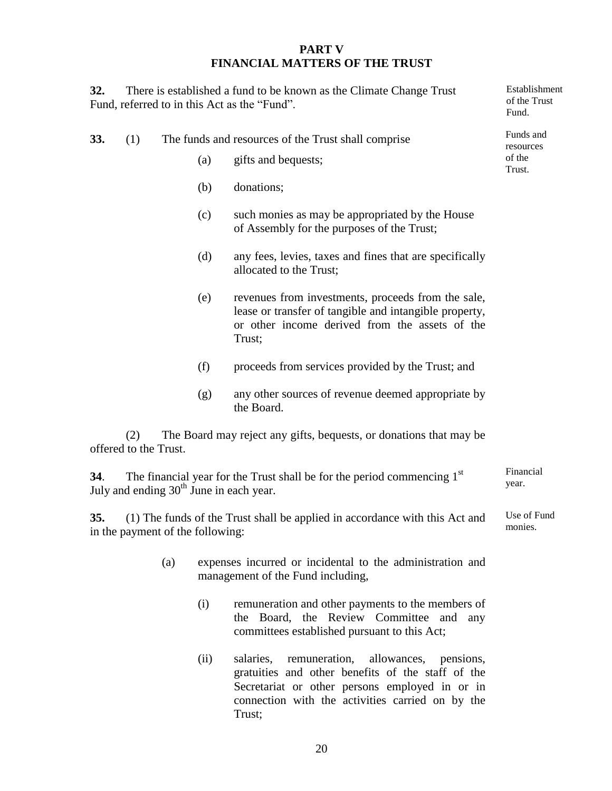#### **PART V FINANCIAL MATTERS OF THE TRUST**

Establishment of the Trust

**32.** There is established a fund to be known as the Climate Change Trust Fund, referred to in this Act as the "Fund".

**33.** (1) The funds and resources of the Trust shall comprise (a) gifts and bequests; (b) donations; (c) such monies as may be appropriated by the House of Assembly for the purposes of the Trust; (d) any fees, levies, taxes and fines that are specifically allocated to the Trust; (e) revenues from investments, proceeds from the sale, lease or transfer of tangible and intangible property, or other income derived from the assets of the Trust; (f) proceeds from services provided by the Trust; and (g) any other sources of revenue deemed appropriate by the Board. Fund. Funds and resources of the Trust.

(2) The Board may reject any gifts, bequests, or donations that may be offered to the Trust.

**34**. The financial year for the Trust shall be for the period commencing 1<sup>st</sup> July and ending  $30<sup>th</sup>$  June in each year. Financial year.

**35.** (1) The funds of the Trust shall be applied in accordance with this Act and in the payment of the following: Use of Fund monies.

- (a) expenses incurred or incidental to the administration and management of the Fund including,
	- (i) remuneration and other payments to the members of the Board, the Review Committee and any committees established pursuant to this Act;
	- (ii) salaries, remuneration, allowances, pensions, gratuities and other benefits of the staff of the Secretariat or other persons employed in or in connection with the activities carried on by the Trust;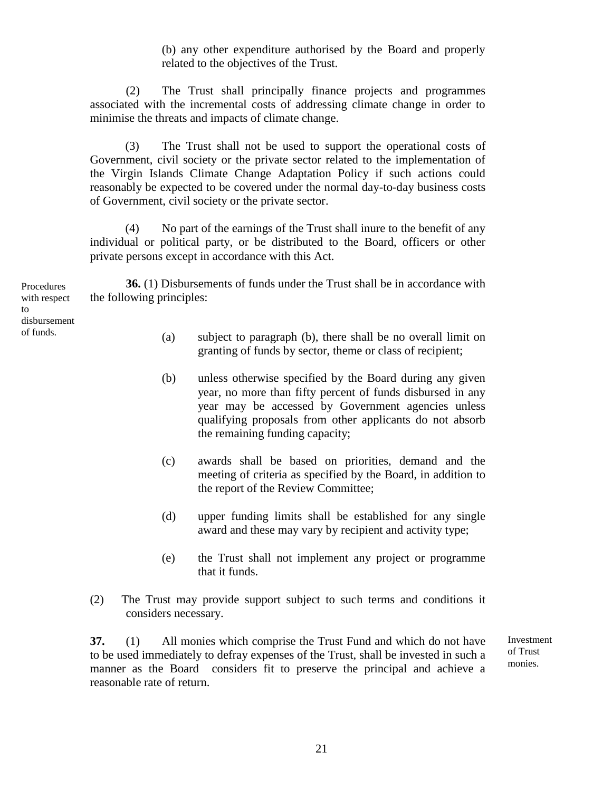(b) any other expenditure authorised by the Board and properly related to the objectives of the Trust.

(2) The Trust shall principally finance projects and programmes associated with the incremental costs of addressing climate change in order to minimise the threats and impacts of climate change.

(3) The Trust shall not be used to support the operational costs of Government, civil society or the private sector related to the implementation of the Virgin Islands Climate Change Adaptation Policy if such actions could reasonably be expected to be covered under the normal day-to-day business costs of Government, civil society or the private sector.

(4) No part of the earnings of the Trust shall inure to the benefit of any individual or political party, or be distributed to the Board, officers or other private persons except in accordance with this Act.

**36.** (1) Disbursements of funds under the Trust shall be in accordance with the following principles: Procedures

> (a) subject to paragraph (b), there shall be no overall limit on granting of funds by sector, theme or class of recipient;

- (b) unless otherwise specified by the Board during any given year, no more than fifty percent of funds disbursed in any year may be accessed by Government agencies unless qualifying proposals from other applicants do not absorb the remaining funding capacity;
- (c) awards shall be based on priorities, demand and the meeting of criteria as specified by the Board, in addition to the report of the Review Committee;
- (d) upper funding limits shall be established for any single award and these may vary by recipient and activity type;
- (e) the Trust shall not implement any project or programme that it funds.
- (2) The Trust may provide support subject to such terms and conditions it considers necessary.

**37.** (1) All monies which comprise the Trust Fund and which do not have to be used immediately to defray expenses of the Trust, shall be invested in such a manner as the Board considers fit to preserve the principal and achieve a reasonable rate of return.

Investment of Trust monies.

with respect to disbursement of funds.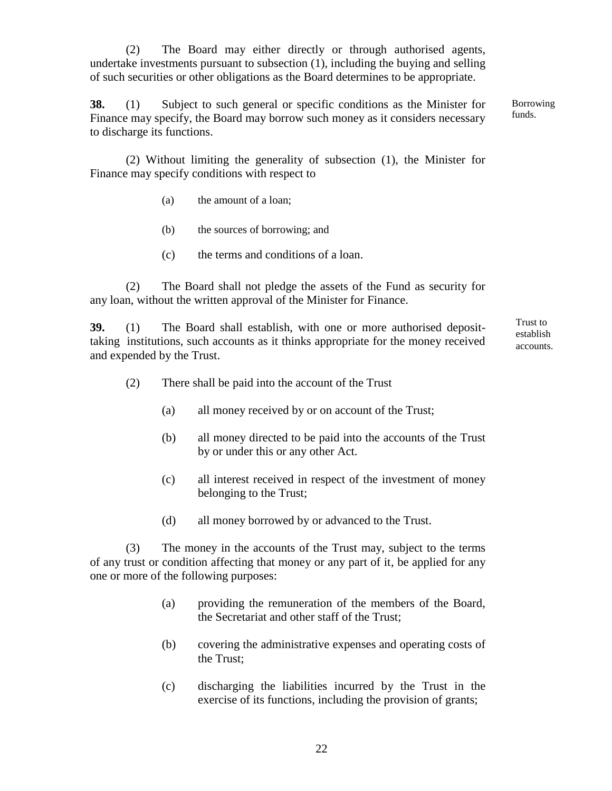(2) The Board may either directly or through authorised agents, undertake investments pursuant to subsection (1), including the buying and selling of such securities or other obligations as the Board determines to be appropriate.

**38.** (1) Subject to such general or specific conditions as the Minister for Finance may specify, the Board may borrow such money as it considers necessary to discharge its functions. Borrowing

funds.

(2) Without limiting the generality of subsection (1), the Minister for Finance may specify conditions with respect to

- (a) the amount of a loan;
- (b) the sources of borrowing; and
- (c) the terms and conditions of a loan.

(2) The Board shall not pledge the assets of the Fund as security for any loan, without the written approval of the Minister for Finance.

**39.** (1) The Board shall establish, with one or more authorised deposittaking institutions, such accounts as it thinks appropriate for the money received and expended by the Trust.

Trust to establish accounts.

- (2) There shall be paid into the account of the Trust
	- (a) all money received by or on account of the Trust;
	- (b) all money directed to be paid into the accounts of the Trust by or under this or any other Act.
	- (c) all interest received in respect of the investment of money belonging to the Trust;
	- (d) all money borrowed by or advanced to the Trust.

(3) The money in the accounts of the Trust may, subject to the terms of any trust or condition affecting that money or any part of it, be applied for any one or more of the following purposes:

- (a) providing the remuneration of the members of the Board, the Secretariat and other staff of the Trust;
- (b) covering the administrative expenses and operating costs of the Trust;
- (c) discharging the liabilities incurred by the Trust in the exercise of its functions, including the provision of grants;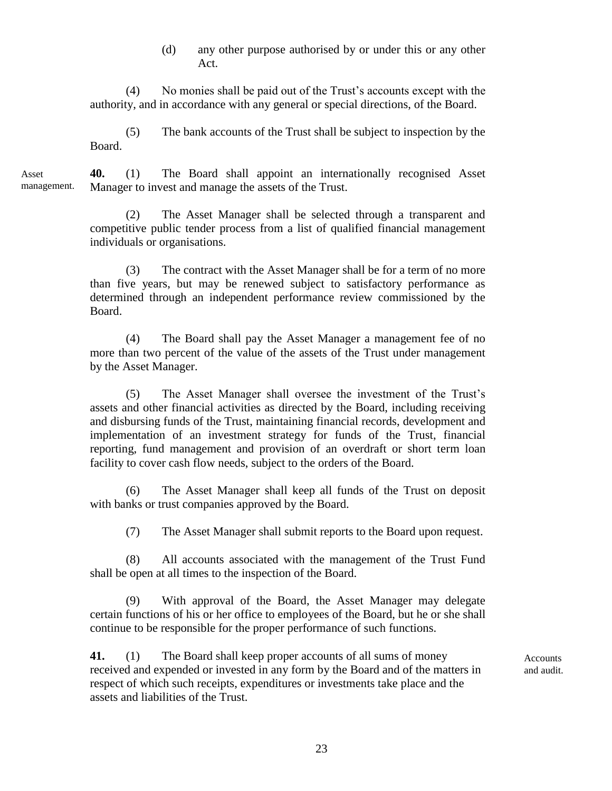(d) any other purpose authorised by or under this or any other Act.

(4) No monies shall be paid out of the Trust's accounts except with the authority, and in accordance with any general or special directions, of the Board.

(5) The bank accounts of the Trust shall be subject to inspection by the Board.

**40.** (1) The Board shall appoint an internationally recognised Asset Manager to invest and manage the assets of the Trust. Asset management.

> (2) The Asset Manager shall be selected through a transparent and competitive public tender process from a list of qualified financial management individuals or organisations.

> (3) The contract with the Asset Manager shall be for a term of no more than five years, but may be renewed subject to satisfactory performance as determined through an independent performance review commissioned by the Board.

> (4) The Board shall pay the Asset Manager a management fee of no more than two percent of the value of the assets of the Trust under management by the Asset Manager.

> (5) The Asset Manager shall oversee the investment of the Trust's assets and other financial activities as directed by the Board, including receiving and disbursing funds of the Trust, maintaining financial records, development and implementation of an investment strategy for funds of the Trust, financial reporting, fund management and provision of an overdraft or short term loan facility to cover cash flow needs, subject to the orders of the Board.

> (6) The Asset Manager shall keep all funds of the Trust on deposit with banks or trust companies approved by the Board.

(7) The Asset Manager shall submit reports to the Board upon request.

(8) All accounts associated with the management of the Trust Fund shall be open at all times to the inspection of the Board.

(9) With approval of the Board, the Asset Manager may delegate certain functions of his or her office to employees of the Board, but he or she shall continue to be responsible for the proper performance of such functions.

**41.** (1) The Board shall keep proper accounts of all sums of money received and expended or invested in any form by the Board and of the matters in respect of which such receipts, expenditures or investments take place and the assets and liabilities of the Trust.

**Accounts** and audit.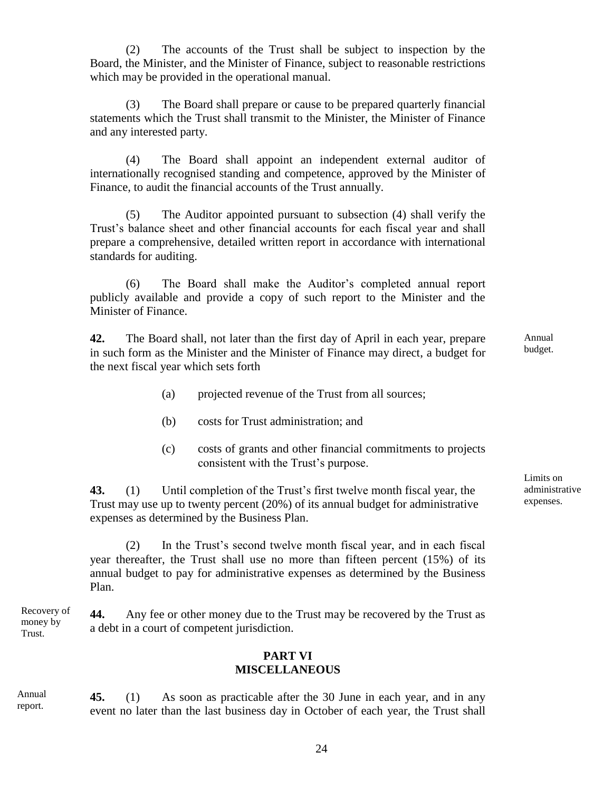(2) The accounts of the Trust shall be subject to inspection by the Board, the Minister, and the Minister of Finance, subject to reasonable restrictions which may be provided in the operational manual.

(3) The Board shall prepare or cause to be prepared quarterly financial statements which the Trust shall transmit to the Minister, the Minister of Finance and any interested party.

(4) The Board shall appoint an independent external auditor of internationally recognised standing and competence, approved by the Minister of Finance, to audit the financial accounts of the Trust annually.

(5) The Auditor appointed pursuant to subsection (4) shall verify the Trust's balance sheet and other financial accounts for each fiscal year and shall prepare a comprehensive, detailed written report in accordance with international standards for auditing.

(6) The Board shall make the Auditor's completed annual report publicly available and provide a copy of such report to the Minister and the Minister of Finance.

**42.** The Board shall, not later than the first day of April in each year, prepare in such form as the Minister and the Minister of Finance may direct, a budget for the next fiscal year which sets forth

- (a) projected revenue of the Trust from all sources;
- (b) costs for Trust administration; and
- (c) costs of grants and other financial commitments to projects consistent with the Trust's purpose.

**43.** (1) Until completion of the Trust's first twelve month fiscal year, the Trust may use up to twenty percent (20%) of its annual budget for administrative expenses as determined by the Business Plan.

(2) In the Trust's second twelve month fiscal year, and in each fiscal year thereafter, the Trust shall use no more than fifteen percent (15%) of its annual budget to pay for administrative expenses as determined by the Business Plan.

**44.** Any fee or other money due to the Trust may be recovered by the Trust as a debt in a court of competent jurisdiction. Recovery of money by Trust.

#### **PART VI MISCELLANEOUS**

**45.** (1) As soon as practicable after the 30 June in each year, and in any event no later than the last business day in October of each year, the Trust shall Annual report.

Annual budget.

Limits on administrative expenses.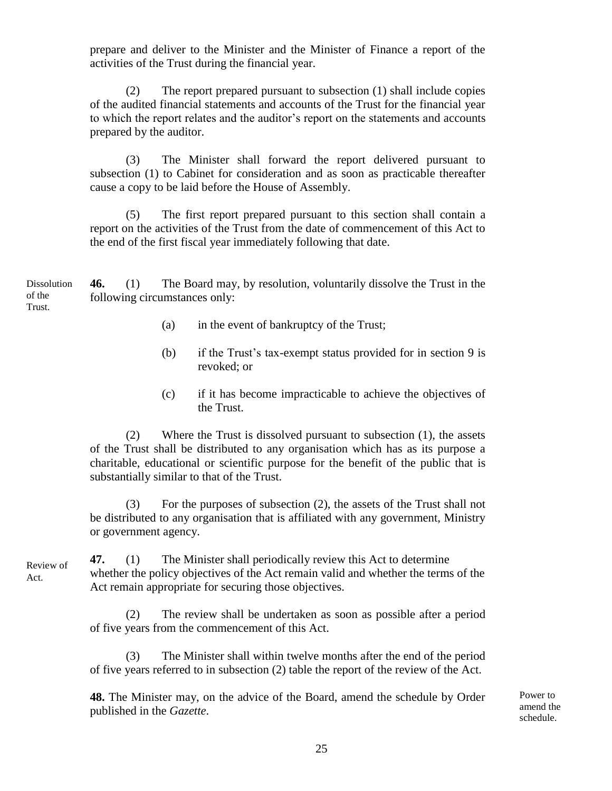prepare and deliver to the Minister and the Minister of Finance a report of the activities of the Trust during the financial year.

(2) The report prepared pursuant to subsection (1) shall include copies of the audited financial statements and accounts of the Trust for the financial year to which the report relates and the auditor's report on the statements and accounts prepared by the auditor.

(3) The Minister shall forward the report delivered pursuant to subsection (1) to Cabinet for consideration and as soon as practicable thereafter cause a copy to be laid before the House of Assembly.

(5) The first report prepared pursuant to this section shall contain a report on the activities of the Trust from the date of commencement of this Act to the end of the first fiscal year immediately following that date.

**46.** (1) The Board may, by resolution, voluntarily dissolve the Trust in the following circumstances only: **Dissolution** of the

- (a) in the event of bankruptcy of the Trust;
- (b) if the Trust's tax-exempt status provided for in section 9 is revoked; or
- (c) if it has become impracticable to achieve the objectives of the Trust.

(2) Where the Trust is dissolved pursuant to subsection (1), the assets of the Trust shall be distributed to any organisation which has as its purpose a charitable, educational or scientific purpose for the benefit of the public that is substantially similar to that of the Trust.

(3) For the purposes of subsection (2), the assets of the Trust shall not be distributed to any organisation that is affiliated with any government, Ministry or government agency.

**47.** (1) The Minister shall periodically review this Act to determine whether the policy objectives of the Act remain valid and whether the terms of the Act remain appropriate for securing those objectives.

(2) The review shall be undertaken as soon as possible after a period of five years from the commencement of this Act.

(3) The Minister shall within twelve months after the end of the period of five years referred to in subsection (2) table the report of the review of the Act.

**48.** The Minister may, on the advice of the Board, amend the schedule by Order published in the *Gazette*.

Power to amend the schedule.

Review of Act.

Trust.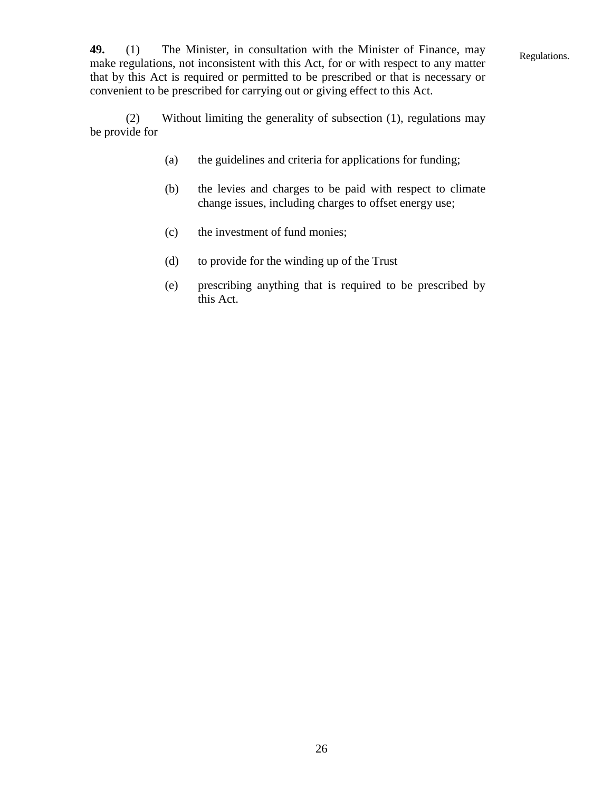Regulations.

**49.** (1) The Minister, in consultation with the Minister of Finance, may make regulations, not inconsistent with this Act, for or with respect to any matter that by this Act is required or permitted to be prescribed or that is necessary or convenient to be prescribed for carrying out or giving effect to this Act.

(2) Without limiting the generality of subsection (1), regulations may be provide for

- (a) the guidelines and criteria for applications for funding;
- (b) the levies and charges to be paid with respect to climate change issues, including charges to offset energy use;
- (c) the investment of fund monies;
- (d) to provide for the winding up of the Trust
- (e) prescribing anything that is required to be prescribed by this Act.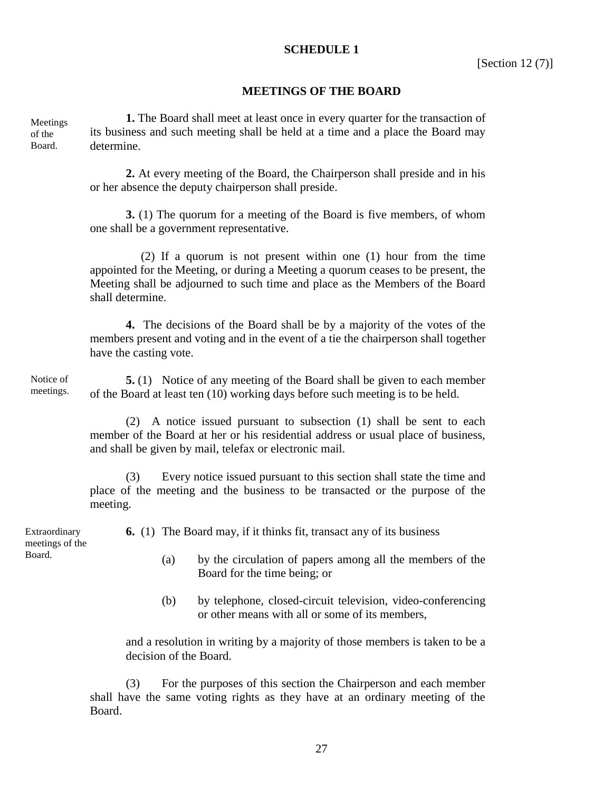#### **SCHEDULE 1**

#### **MEETINGS OF THE BOARD**

| Meetings | 1. The Board shall meet at least once in every quarter for the transaction of   |
|----------|---------------------------------------------------------------------------------|
| of the   | its business and such meeting shall be held at a time and a place the Board may |
| Board.   | determine.                                                                      |

**2.** At every meeting of the Board, the Chairperson shall preside and in his or her absence the deputy chairperson shall preside.

**3.** (1) The quorum for a meeting of the Board is five members, of whom one shall be a government representative.

 (2) If a quorum is not present within one (1) hour from the time appointed for the Meeting, or during a Meeting a quorum ceases to be present, the Meeting shall be adjourned to such time and place as the Members of the Board shall determine.

**4.** The decisions of the Board shall be by a majority of the votes of the members present and voting and in the event of a tie the chairperson shall together have the casting vote.

**5.** (1) Notice of any meeting of the Board shall be given to each member of the Board at least ten (10) working days before such meeting is to be held. Notice of meetings.

> (2) A notice issued pursuant to subsection (1) shall be sent to each member of the Board at her or his residential address or usual place of business, and shall be given by mail, telefax or electronic mail.

> (3) Every notice issued pursuant to this section shall state the time and place of the meeting and the business to be transacted or the purpose of the meeting.

Extraordinary meetings of the Board.

- **6.** (1) The Board may, if it thinks fit, transact any of its business
	- (a) by the circulation of papers among all the members of the Board for the time being; or
	- (b) by telephone, closed-circuit television, video-conferencing or other means with all or some of its members,

and a resolution in writing by a majority of those members is taken to be a decision of the Board.

(3) For the purposes of this section the Chairperson and each member shall have the same voting rights as they have at an ordinary meeting of the Board.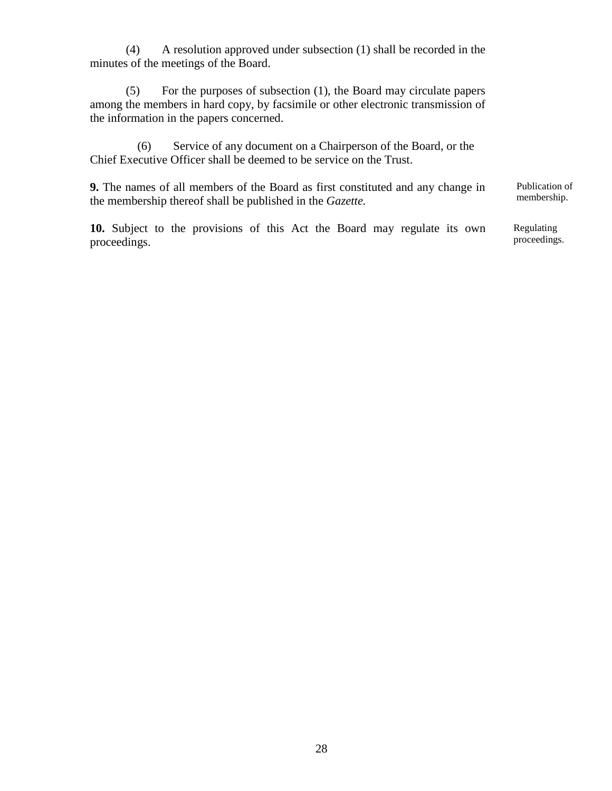(4) A resolution approved under subsection (1) shall be recorded in the minutes of the meetings of the Board.

(5) For the purposes of subsection (1), the Board may circulate papers among the members in hard copy, by facsimile or other electronic transmission of the information in the papers concerned.

(6) Service of any document on a Chairperson of the Board, or the Chief Executive Officer shall be deemed to be service on the Trust.

**9.** The names of all members of the Board as first constituted and any change in the membership thereof shall be published in the *Gazette.*

**10.** Subject to the provisions of this Act the Board may regulate its own proceedings.

Publication of membership.

Regulating proceedings.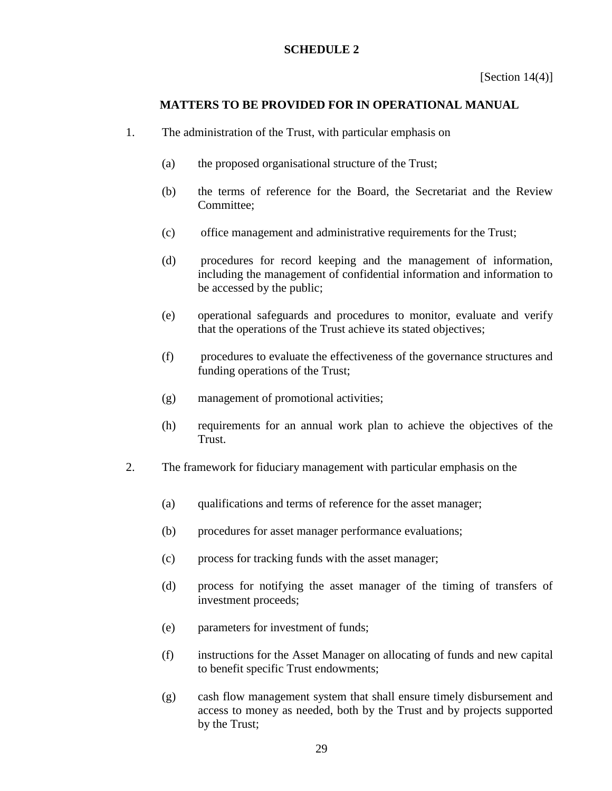#### **SCHEDULE 2**

## **MATTERS TO BE PROVIDED FOR IN OPERATIONAL MANUAL**

- 1. The administration of the Trust, with particular emphasis on
	- (a) the proposed organisational structure of the Trust;
	- (b) the terms of reference for the Board, the Secretariat and the Review Committee;
	- (c) office management and administrative requirements for the Trust;
	- (d) procedures for record keeping and the management of information, including the management of confidential information and information to be accessed by the public;
	- (e) operational safeguards and procedures to monitor, evaluate and verify that the operations of the Trust achieve its stated objectives;
	- (f) procedures to evaluate the effectiveness of the governance structures and funding operations of the Trust;
	- (g) management of promotional activities;
	- (h) requirements for an annual work plan to achieve the objectives of the Trust.
- 2. The framework for fiduciary management with particular emphasis on the
	- (a) qualifications and terms of reference for the asset manager;
	- (b) procedures for asset manager performance evaluations;
	- (c) process for tracking funds with the asset manager;
	- (d) process for notifying the asset manager of the timing of transfers of investment proceeds;
	- (e) parameters for investment of funds;
	- (f) instructions for the Asset Manager on allocating of funds and new capital to benefit specific Trust endowments;
	- (g) cash flow management system that shall ensure timely disbursement and access to money as needed, both by the Trust and by projects supported by the Trust;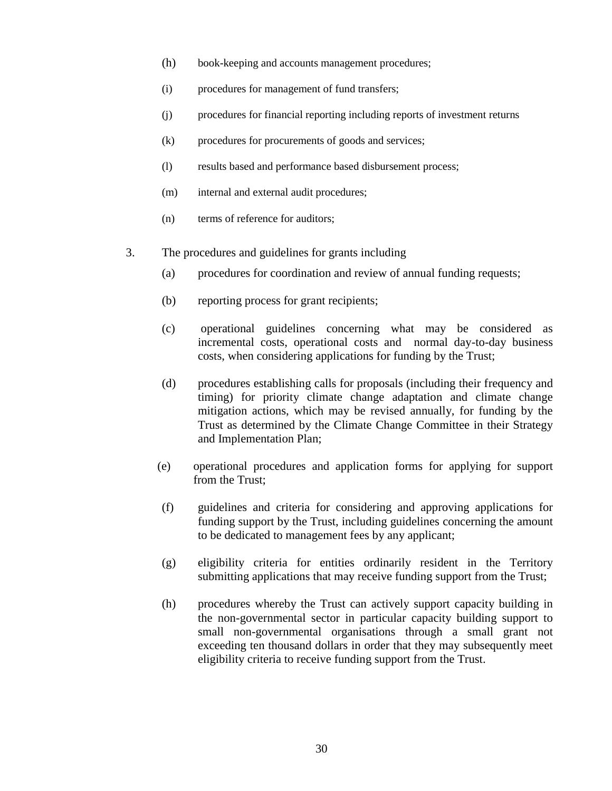- (h) book-keeping and accounts management procedures;
- (i) procedures for management of fund transfers;
- (j) procedures for financial reporting including reports of investment returns
- (k) procedures for procurements of goods and services;
- (l) results based and performance based disbursement process;
- (m) internal and external audit procedures;
- (n) terms of reference for auditors;
- 3. The procedures and guidelines for grants including
	- (a) procedures for coordination and review of annual funding requests;
	- (b) reporting process for grant recipients;
	- (c) operational guidelines concerning what may be considered as incremental costs, operational costs and normal day-to-day business costs, when considering applications for funding by the Trust;
	- (d) procedures establishing calls for proposals (including their frequency and timing) for priority climate change adaptation and climate change mitigation actions, which may be revised annually, for funding by the Trust as determined by the Climate Change Committee in their Strategy and Implementation Plan;
	- (e) operational procedures and application forms for applying for support from the Trust;
	- (f) guidelines and criteria for considering and approving applications for funding support by the Trust, including guidelines concerning the amount to be dedicated to management fees by any applicant;
	- (g) eligibility criteria for entities ordinarily resident in the Territory submitting applications that may receive funding support from the Trust;
	- (h) procedures whereby the Trust can actively support capacity building in the non-governmental sector in particular capacity building support to small non-governmental organisations through a small grant not exceeding ten thousand dollars in order that they may subsequently meet eligibility criteria to receive funding support from the Trust.